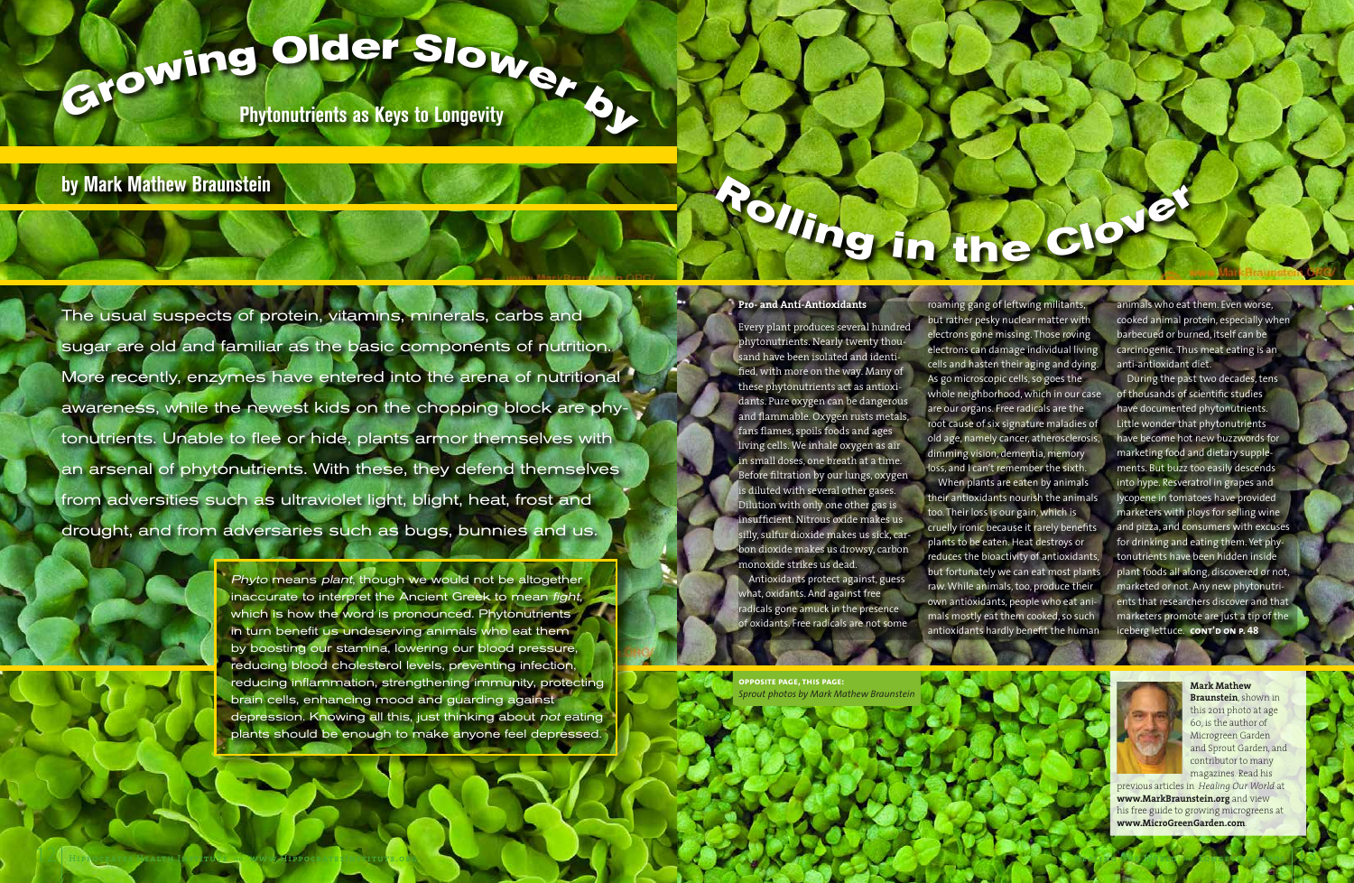The usual suspects of protein, vitamins, minerals, carbs and sugar are old and familiar as the basic components of nutrition. More recently, enzymes have entered into the arena of nutritional awareness, while the newest kids on the chopping block are phytonutrients. Unable to flee or hide, plants armor themselves with an arsenal of phytonutrients. With these, they defend themselves from adversities such as ultraviolet light, blight, heat, frost and drought, and from adversaries such as bugs, bunnies and us.

Every plant produces several hundred phytonutrients. Nearly twenty thousand have been isolated and identified, with more on the way. Many of these phytonutrients act as antioxidants. Pure oxygen can be dangerous and flammable. Oxygen rusts metals, fans flames, spoils foods and ages living cells. We inhale oxygen as air in small doses, one breath at a time. Before filtration by our lungs, oxygen is diluted with several other gases. Dilution with only one other gas is insufficient. Nitrous oxide makes us silly, sulfur dioxide makes us sick, carbon dioxide makes us drowsy, carbon monoxide strikes us dead. Antioxidants protect against, guess what, oxidants. And against free radicals gone amuck in the presence f oxidants. Free radicals are not some

# **by Mark Mathew Braunstein**



**Mark Mathew Braunstein**, shown in this 2011 photo at age 60, is the author of Microgreen Garden and Sprout Garden, and contributor to many magazines. Read his

previous articles in *Healing Our World* at **www.MarkBraunstein.org** and view his free guide to growing microgreens at **www.MicroGreenGarden.com**.

**G**

**Phytonutrients as Keys to Longevity**

# **<sup>r</sup>owin<sup>g</sup> <sup>O</sup>lde<sup>r</sup> <sup>S</sup>lowe<sup>r</sup> <sup>b</sup><sup>y</sup>**

## **Pro- and Anti-Antioxidants**

During the past two decades, tens of thousands of scientific studies have documented phytonutrients. Little wonder that phytonutrients have become hot new buzzwords for marketing food and dietary supplements. But buzz too easily descends into hype. Resveratrol in grapes and lycopene in tomatoes have provided marketers with ploys for selling wine and pizza, and consumers with excuses for drinking and eating them. Yet phytonutrients have been hidden inside plant foods all along, discovered or not, marketed or not. Any new phytonutrients that researchers discover and that marketers promote are just a tip of the iceberg lettuce. **cont'd on P. 48** 

roaming gang of leftwing militants, but rather pesky nuclear matter with electrons gone missing. Those roving electrons can damage individual living cells and hasten their aging and dying.

 $\frac{1}{2}$ 

As go microscopic cells, so goes the whole neighborhood, which in our case are our organs. Free radicals are the

root cause of six signature maladies of old age, namely cancer, atherosclerosis, dimming vision, dementia, memory loss, and I can't remember the sixth.

When plants are eaten by animals their antioxidants nourish the animals too. Their loss is our gain, which is cruelly ironic because it rarely benefits plants to be eaten. Heat destroys or reduces the bioactivity of antioxidants, but fortunately we can eat most plants raw. While animals, too, produce their own antioxidants, people who eat animals mostly eat them cooked, so such antioxidants hardly benefit the human

animals who eat them. Even worse, cooked animal protein, especially when barbecued or burned, itself can be carcinogenic. Thus meat eating is an anti-antioxidant diet.

**opposite page, this page:** *Sprout photos by Mark Mathew Braunstein*



Phyto means plant, though we would not be altogether inaccurate to interpret the Ancient Greek to mean fight, which is how the word is pronounced. Phytonutrients in turn benefit us undeserving animals who eat them by boosting our stamina, lowering our blood pressure, reducing blood cholesterol levels, preventing infection, reducing inflammation, strengthening immunity, protecting brain cells, enhancing mood and guarding against depression. Knowing all this, just thinking about not eating plants should be enough to make anyone feel depressed.